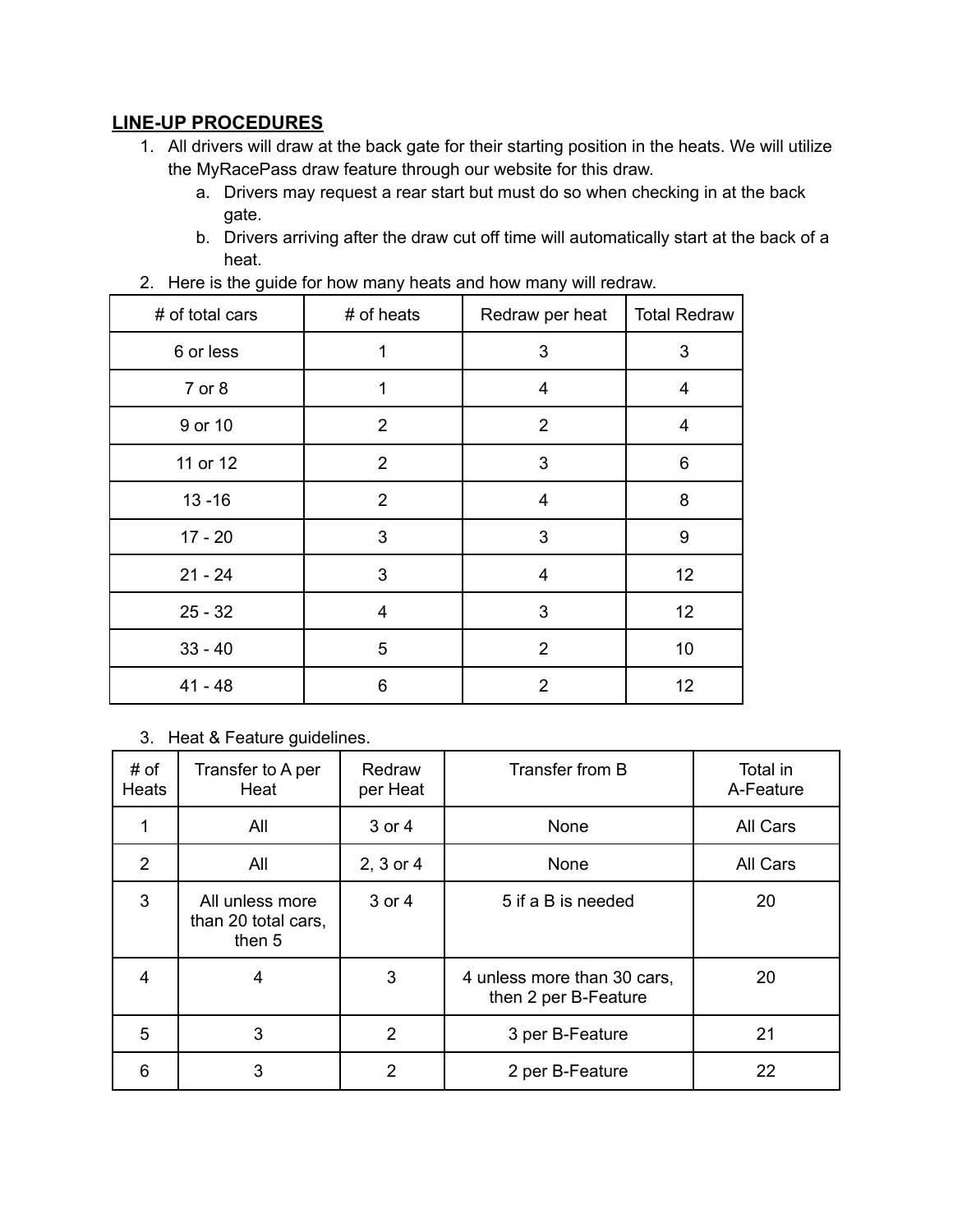## **LINE-UP PROCEDURES**

- 1. All drivers will draw at the back gate for their starting position in the heats. We will utilize the MyRacePass draw feature through our website for this draw.
	- a. Drivers may request a rear start but must do so when checking in at the back gate.
	- b. Drivers arriving after the draw cut off time will automatically start at the back of a heat.

| # of total cars | # of heats     | Redraw per heat | <b>Total Redraw</b>     |
|-----------------|----------------|-----------------|-------------------------|
| 6 or less       | 1              | 3               | 3                       |
| 7 or 8          | 1              | 4               | $\overline{\mathbf{4}}$ |
| 9 or 10         | $\overline{2}$ | $\overline{2}$  | $\overline{\mathbf{4}}$ |
| 11 or 12        | $\overline{2}$ | 3               | 6                       |
| $13 - 16$       | $\overline{2}$ | $\overline{4}$  | 8                       |
| $17 - 20$       | 3              | 3               | 9                       |
| $21 - 24$       | 3              | 4               | 12                      |
| $25 - 32$       | 4              | 3               | 12                      |
| $33 - 40$       | 5              | $\overline{2}$  | 10                      |
| $41 - 48$       | 6              | $\overline{2}$  | 12                      |

2. Here is the guide for how many heats and how many will redraw.

3. Heat & Feature guidelines.

| # of<br><b>Heats</b> | Transfer to A per<br>Heat                        | Redraw<br>per Heat | Transfer from B                                     | Total in<br>A-Feature |
|----------------------|--------------------------------------------------|--------------------|-----------------------------------------------------|-----------------------|
|                      | All                                              | 3 or 4             | None                                                | All Cars              |
| $\overline{2}$       | All                                              | 2, 3 or 4          | None                                                | All Cars              |
| 3                    | All unless more<br>than 20 total cars,<br>then 5 | 3 or 4             | 5 if a B is needed                                  | 20                    |
| 4                    | 4                                                | 3                  | 4 unless more than 30 cars,<br>then 2 per B-Feature | 20                    |
| 5                    | 3                                                | $\overline{2}$     | 3 per B-Feature                                     | 21                    |
| 6                    | 3                                                | $\overline{2}$     | 2 per B-Feature                                     | 22                    |